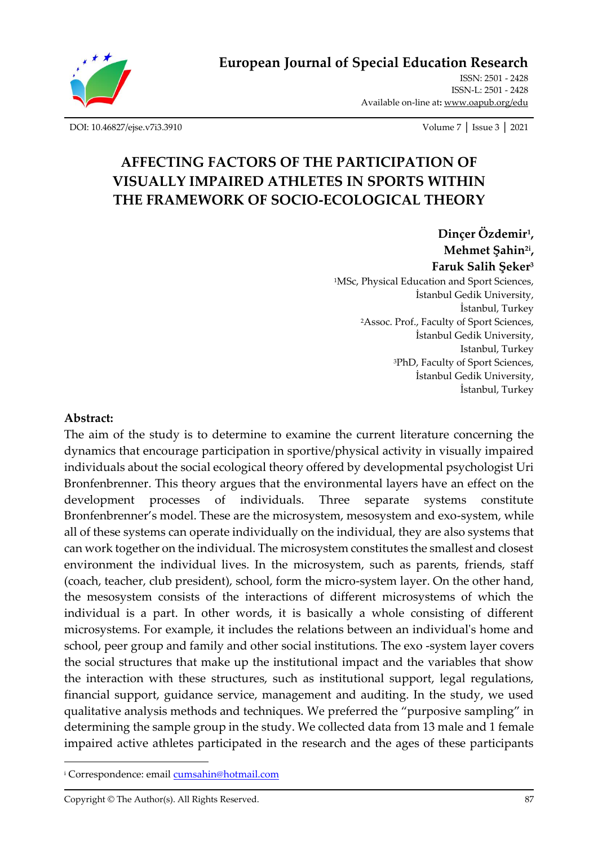

**European Journal of Special Education Research**

ISSN: 2501 - 2428 ISSN-L: 2501 - 2428 Available on-line at**:** [www.oapub.org/edu](http://www.oapub.org/edu)

[DOI: 10.46827/ejse.v7i3.3910](http://dx.doi.org/10.46827/ejse.v7i3.3910) Volume 7 │ Issue 3 │ 2021

# **AFFECTING FACTORS OF THE PARTICIPATION OF VISUALLY IMPAIRED ATHLETES IN SPORTS WITHIN THE FRAMEWORK OF SOCIO-ECOLOGICAL THEORY**

**Dinçer Özdemir<sup>1</sup> , Mehmet Şahin2i , Faruk Salih Şeker<sup>3</sup>** <sup>1</sup>MSc, Physical Education and Sport Sciences, İstanbul Gedik University, İstanbul, Turkey <sup>2</sup>Assoc. Prof., Faculty of Sport Sciences, İstanbul Gedik University, Istanbul, Turkey <sup>3</sup>PhD, Faculty of Sport Sciences, İstanbul Gedik University, İstanbul, Turkey

#### **Abstract:**

The aim of the study is to determine to examine the current literature concerning the dynamics that encourage participation in sportive/physical activity in visually impaired individuals about the social ecological theory offered by developmental psychologist Uri Bronfenbrenner. This theory argues that the environmental layers have an effect on the development processes of individuals. Three separate systems constitute Bronfenbrenner's model. These are the microsystem, mesosystem and exo-system, while all of these systems can operate individually on the individual, they are also systems that can work together on the individual. The microsystem constitutes the smallest and closest environment the individual lives. In the microsystem, such as parents, friends, staff (coach, teacher, club president), school, form the micro-system layer. On the other hand, the mesosystem consists of the interactions of different microsystems of which the individual is a part. In other words, it is basically a whole consisting of different microsystems. For example, it includes the relations between an individual's home and school, peer group and family and other social institutions. The exo -system layer covers the social structures that make up the institutional impact and the variables that show the interaction with these structures, such as institutional support, legal regulations, financial support, guidance service, management and auditing. In the study, we used qualitative analysis methods and techniques. We preferred the "purposive sampling" in determining the sample group in the study. We collected data from 13 male and 1 female impaired active athletes participated in the research and the ages of these participants

<sup>&</sup>lt;sup>i</sup> Correspondence: email **cumsahin@hotmail.com** 

Copyright © The Author(s). All Rights Reserved. 87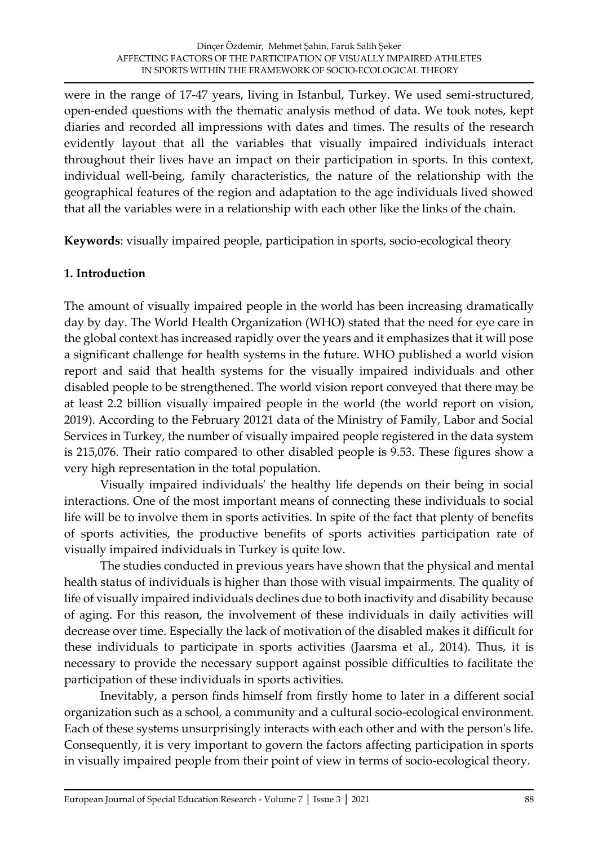were in the range of 17-47 years, living in Istanbul, Turkey. We used semi-structured, open-ended questions with the thematic analysis method of data. We took notes, kept diaries and recorded all impressions with dates and times. The results of the research evidently layout that all the variables that visually impaired individuals interact throughout their lives have an impact on their participation in sports. In this context, individual well-being, family characteristics, the nature of the relationship with the geographical features of the region and adaptation to the age individuals lived showed that all the variables were in a relationship with each other like the links of the chain.

**Keywords**: visually impaired people, participation in sports, socio-ecological theory

### **1. Introduction**

The amount of visually impaired people in the world has been increasing dramatically day by day. The World Health Organization (WHO) stated that the need for eye care in the global context has increased rapidly over the years and it emphasizes that it will pose a significant challenge for health systems in the future. WHO published a world vision report and said that health systems for the visually impaired individuals and other disabled people to be strengthened. The world vision report conveyed that there may be at least 2.2 billion visually impaired people in the world (the world report on vision, 2019). According to the February 20121 data of the Ministry of Family, Labor and Social Services in Turkey, the number of visually impaired people registered in the data system is 215,076. Their ratio compared to other disabled people is 9.53. These figures show a very high representation in the total population.

Visually impaired individuals' the healthy life depends on their being in social interactions. One of the most important means of connecting these individuals to social life will be to involve them in sports activities. In spite of the fact that plenty of benefits of sports activities, the productive benefits of sports activities participation rate of visually impaired individuals in Turkey is quite low.

The studies conducted in previous years have shown that the physical and mental health status of individuals is higher than those with visual impairments. The quality of life of visually impaired individuals declines due to both inactivity and disability because of aging. For this reason, the involvement of these individuals in daily activities will decrease over time. Especially the lack of motivation of the disabled makes it difficult for these individuals to participate in sports activities (Jaarsma et al., 2014). Thus, it is necessary to provide the necessary support against possible difficulties to facilitate the participation of these individuals in sports activities.

Inevitably, a person finds himself from firstly home to later in a different social organization such as a school, a community and a cultural socio-ecological environment. Each of these systems unsurprisingly interacts with each other and with the person's life. Consequently, it is very important to govern the factors affecting participation in sports in visually impaired people from their point of view in terms of socio-ecological theory.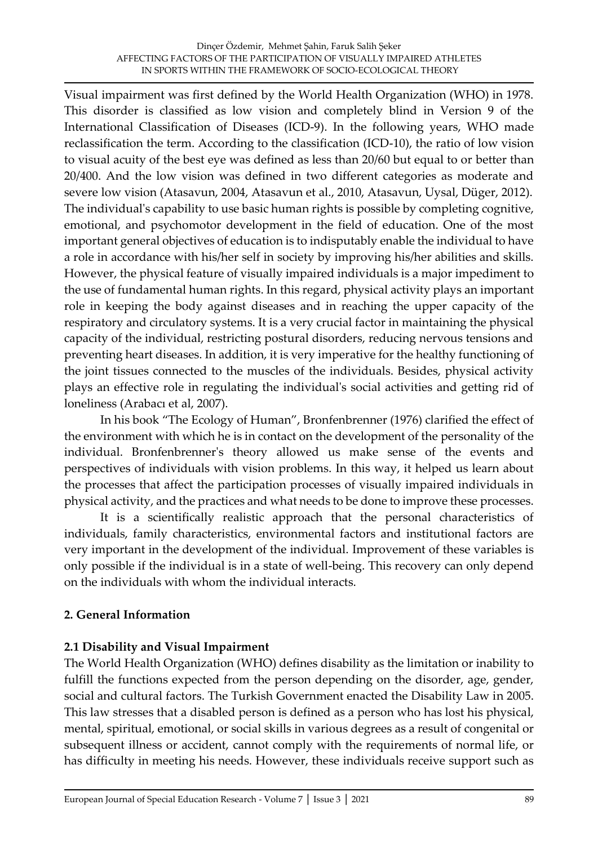Visual impairment was first defined by the World Health Organization (WHO) in 1978. This disorder is classified as low vision and completely blind in Version 9 of the International Classification of Diseases (ICD-9). In the following years, WHO made reclassification the term. According to the classification (ICD-10), the ratio of low vision to visual acuity of the best eye was defined as less than 20/60 but equal to or better than 20/400. And the low vision was defined in two different categories as moderate and severe low vision (Atasavun, 2004, Atasavun et al., 2010, Atasavun, Uysal, Düger, 2012). The individual's capability to use basic human rights is possible by completing cognitive, emotional, and psychomotor development in the field of education. One of the most important general objectives of education is to indisputably enable the individual to have a role in accordance with his/her self in society by improving his/her abilities and skills. However, the physical feature of visually impaired individuals is a major impediment to the use of fundamental human rights. In this regard, physical activity plays an important role in keeping the body against diseases and in reaching the upper capacity of the respiratory and circulatory systems. It is a very crucial factor in maintaining the physical capacity of the individual, restricting postural disorders, reducing nervous tensions and preventing heart diseases. In addition, it is very imperative for the healthy functioning of the joint tissues connected to the muscles of the individuals. Besides, physical activity plays an effective role in regulating the individual's social activities and getting rid of loneliness (Arabacı et al, 2007).

In his book "The Ecology of Human", Bronfenbrenner (1976) clarified the effect of the environment with which he is in contact on the development of the personality of the individual. Bronfenbrenner's theory allowed us make sense of the events and perspectives of individuals with vision problems. In this way, it helped us learn about the processes that affect the participation processes of visually impaired individuals in physical activity, and the practices and what needs to be done to improve these processes.

It is a scientifically realistic approach that the personal characteristics of individuals, family characteristics, environmental factors and institutional factors are very important in the development of the individual. Improvement of these variables is only possible if the individual is in a state of well-being. This recovery can only depend on the individuals with whom the individual interacts.

### **2. General Information**

# **2.1 Disability and Visual Impairment**

The World Health Organization (WHO) defines disability as the limitation or inability to fulfill the functions expected from the person depending on the disorder, age, gender, social and cultural factors. The Turkish Government enacted the Disability Law in 2005. This law stresses that a disabled person is defined as a person who has lost his physical, mental, spiritual, emotional, or social skills in various degrees as a result of congenital or subsequent illness or accident, cannot comply with the requirements of normal life, or has difficulty in meeting his needs. However, these individuals receive support such as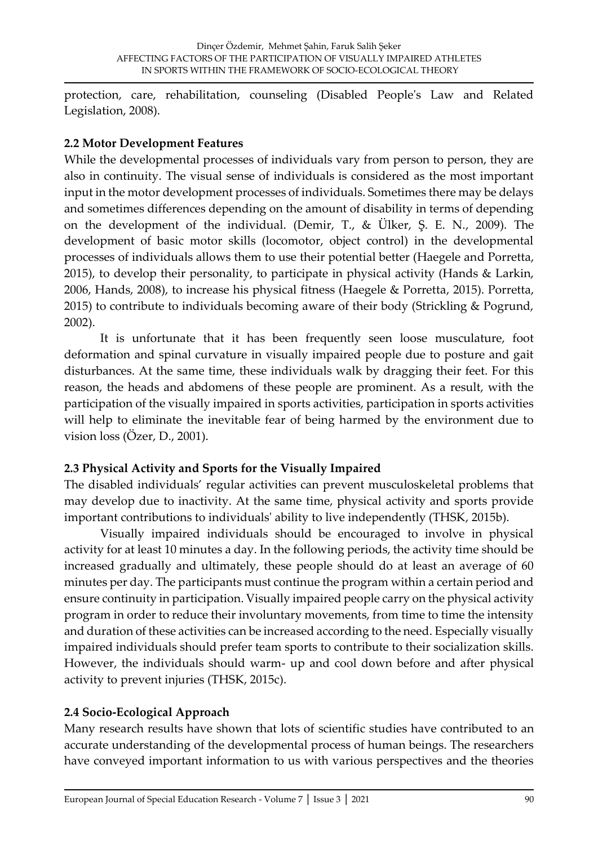protection, care, rehabilitation, counseling (Disabled People's Law and Related Legislation, 2008).

# **2.2 Motor Development Features**

While the developmental processes of individuals vary from person to person, they are also in continuity. The visual sense of individuals is considered as the most important input in the motor development processes of individuals. Sometimes there may be delays and sometimes differences depending on the amount of disability in terms of depending on the development of the individual. (Demir, T., & Ülker, Ş. E. N., 2009). The development of basic motor skills (locomotor, object control) in the developmental processes of individuals allows them to use their potential better (Haegele and Porretta, 2015), to develop their personality, to participate in physical activity (Hands & Larkin, 2006, Hands, 2008), to increase his physical fitness (Haegele & Porretta, 2015). Porretta, 2015) to contribute to individuals becoming aware of their body (Strickling & Pogrund, 2002).

It is unfortunate that it has been frequently seen loose musculature, foot deformation and spinal curvature in visually impaired people due to posture and gait disturbances. At the same time, these individuals walk by dragging their feet. For this reason, the heads and abdomens of these people are prominent. As a result, with the participation of the visually impaired in sports activities, participation in sports activities will help to eliminate the inevitable fear of being harmed by the environment due to vision loss (Özer, D., 2001).

# **2.3 Physical Activity and Sports for the Visually Impaired**

The disabled individuals' regular activities can prevent musculoskeletal problems that may develop due to inactivity. At the same time, physical activity and sports provide important contributions to individuals' ability to live independently (THSK, 2015b).

Visually impaired individuals should be encouraged to involve in physical activity for at least 10 minutes a day. In the following periods, the activity time should be increased gradually and ultimately, these people should do at least an average of 60 minutes per day. The participants must continue the program within a certain period and ensure continuity in participation. Visually impaired people carry on the physical activity program in order to reduce their involuntary movements, from time to time the intensity and duration of these activities can be increased according to the need. Especially visually impaired individuals should prefer team sports to contribute to their socialization skills. However, the individuals should warm- up and cool down before and after physical activity to prevent injuries (THSK, 2015c).

# **2.4 Socio-Ecological Approach**

Many research results have shown that lots of scientific studies have contributed to an accurate understanding of the developmental process of human beings. The researchers have conveyed important information to us with various perspectives and the theories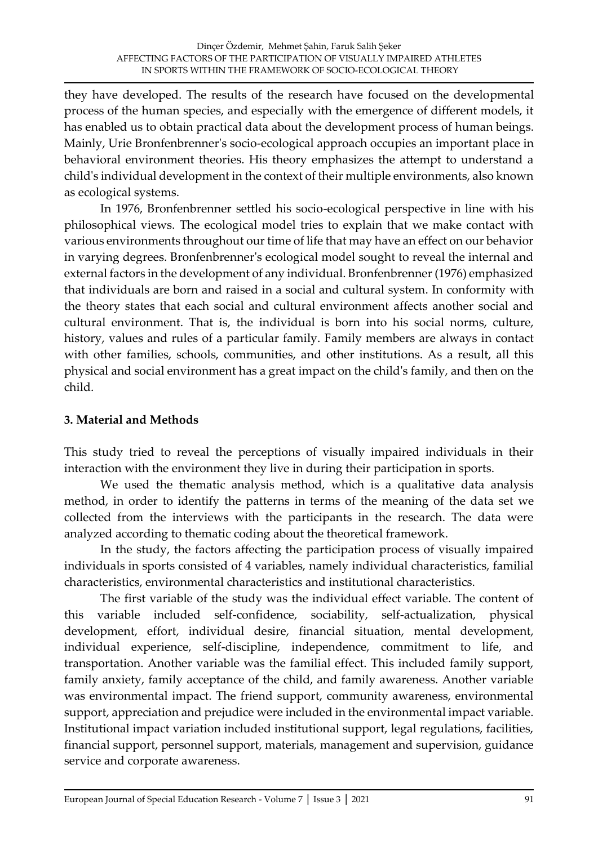they have developed. The results of the research have focused on the developmental process of the human species, and especially with the emergence of different models, it has enabled us to obtain practical data about the development process of human beings. Mainly, Urie Bronfenbrenner's socio-ecological approach occupies an important place in behavioral environment theories. His theory emphasizes the attempt to understand a child's individual development in the context of their multiple environments, also known as ecological systems.

In 1976, Bronfenbrenner settled his socio-ecological perspective in line with his philosophical views. The ecological model tries to explain that we make contact with various environments throughout our time of life that may have an effect on our behavior in varying degrees. Bronfenbrenner's ecological model sought to reveal the internal and external factors in the development of any individual. Bronfenbrenner (1976) emphasized that individuals are born and raised in a social and cultural system. In conformity with the theory states that each social and cultural environment affects another social and cultural environment. That is, the individual is born into his social norms, culture, history, values and rules of a particular family. Family members are always in contact with other families, schools, communities, and other institutions. As a result, all this physical and social environment has a great impact on the child's family, and then on the child.

# **3. Material and Methods**

This study tried to reveal the perceptions of visually impaired individuals in their interaction with the environment they live in during their participation in sports.

We used the thematic analysis method, which is a qualitative data analysis method, in order to identify the patterns in terms of the meaning of the data set we collected from the interviews with the participants in the research. The data were analyzed according to thematic coding about the theoretical framework.

In the study, the factors affecting the participation process of visually impaired individuals in sports consisted of 4 variables, namely individual characteristics, familial characteristics, environmental characteristics and institutional characteristics.

The first variable of the study was the individual effect variable. The content of this variable included self-confidence, sociability, self-actualization, physical development, effort, individual desire, financial situation, mental development, individual experience, self-discipline, independence, commitment to life, and transportation. Another variable was the familial effect. This included family support, family anxiety, family acceptance of the child, and family awareness. Another variable was environmental impact. The friend support, community awareness, environmental support, appreciation and prejudice were included in the environmental impact variable. Institutional impact variation included institutional support, legal regulations, facilities, financial support, personnel support, materials, management and supervision, guidance service and corporate awareness.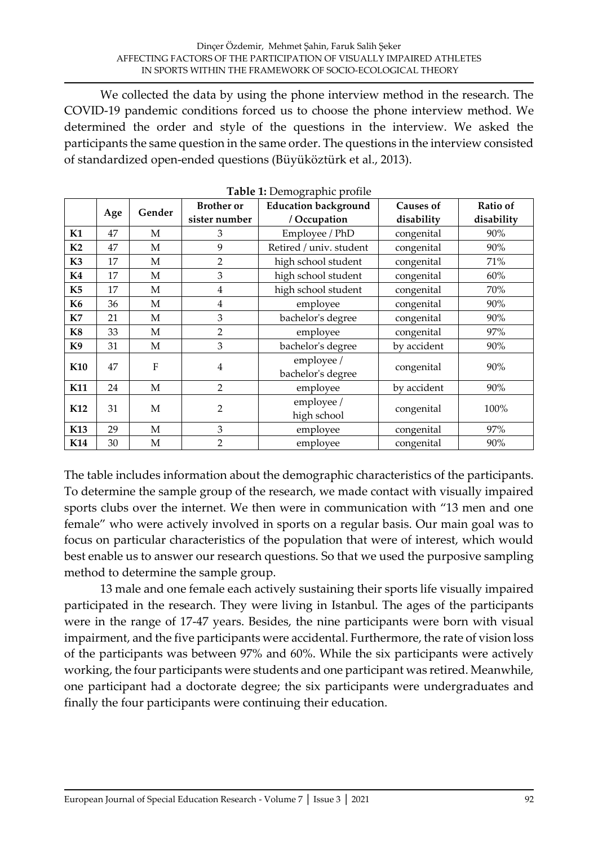We collected the data by using the phone interview method in the research. The COVID-19 pandemic conditions forced us to choose the phone interview method. We determined the order and style of the questions in the interview. We asked the participants the same question in the same order. The questions in the interview consisted of standardized open-ended questions (Büyüköztürk et al., 2013).

|                | racio il peniographie prome<br><b>Education background</b><br><b>Brother</b> or<br>Causes of |             |                |                                 |             |                        |
|----------------|----------------------------------------------------------------------------------------------|-------------|----------------|---------------------------------|-------------|------------------------|
|                | Age                                                                                          | Gender      | sister number  | / Occupation                    | disability  | Ratio of<br>disability |
| K1             | 47                                                                                           | М           | 3              | Employee / PhD                  | congenital  | 90%                    |
| K2             | 47                                                                                           | $\mathbf M$ | 9              | Retired / univ. student         | congenital  | 90%                    |
| K <sub>3</sub> | 17                                                                                           | М           | $\overline{2}$ | high school student             | congenital  | 71%                    |
| K4             | 17                                                                                           | М           | 3              | high school student             | congenital  | 60%                    |
| K <sub>5</sub> | 17                                                                                           | М           | $\overline{4}$ | high school student             | congenital  | 70%                    |
| K6             | 36                                                                                           | М           | $\overline{4}$ | employee                        | congenital  | 90%                    |
| K7             | 21                                                                                           | M           | 3              | bachelor's degree               | congenital  | 90%                    |
| K8             | 33                                                                                           | М           | $\overline{2}$ | employee                        | congenital  | 97%                    |
| K9             | 31                                                                                           | М           | $\mathfrak{Z}$ | bachelor's degree               | by accident | 90%                    |
| <b>K10</b>     | 47                                                                                           | ${\bf F}$   | $\overline{4}$ | employee /<br>bachelor's degree | congenital  | 90%                    |
| K11            | 24                                                                                           | $\mathbf M$ | $\overline{2}$ | employee                        | by accident | 90%                    |
| K12            | 31                                                                                           | $\mathbf M$ | $\overline{2}$ | employee /<br>high school       | congenital  | 100%                   |
| K13            | 29                                                                                           | $\mathbf M$ | 3              | employee                        | congenital  | 97%                    |
| <b>K14</b>     | 30                                                                                           | $\mathbf M$ | $\overline{2}$ | employee                        | congenital  | 90%                    |

**Table 1:** Demographic profile

The table includes information about the demographic characteristics of the participants. To determine the sample group of the research, we made contact with visually impaired sports clubs over the internet. We then were in communication with "13 men and one female" who were actively involved in sports on a regular basis. Our main goal was to focus on particular characteristics of the population that were of interest, which would best enable us to answer our research questions. So that we used the purposive sampling method to determine the sample group.

13 male and one female each actively sustaining their sports life visually impaired participated in the research. They were living in Istanbul. The ages of the participants were in the range of 17-47 years. Besides, the nine participants were born with visual impairment, and the five participants were accidental. Furthermore, the rate of vision loss of the participants was between 97% and 60%. While the six participants were actively working, the four participants were students and one participant was retired. Meanwhile, one participant had a doctorate degree; the six participants were undergraduates and finally the four participants were continuing their education.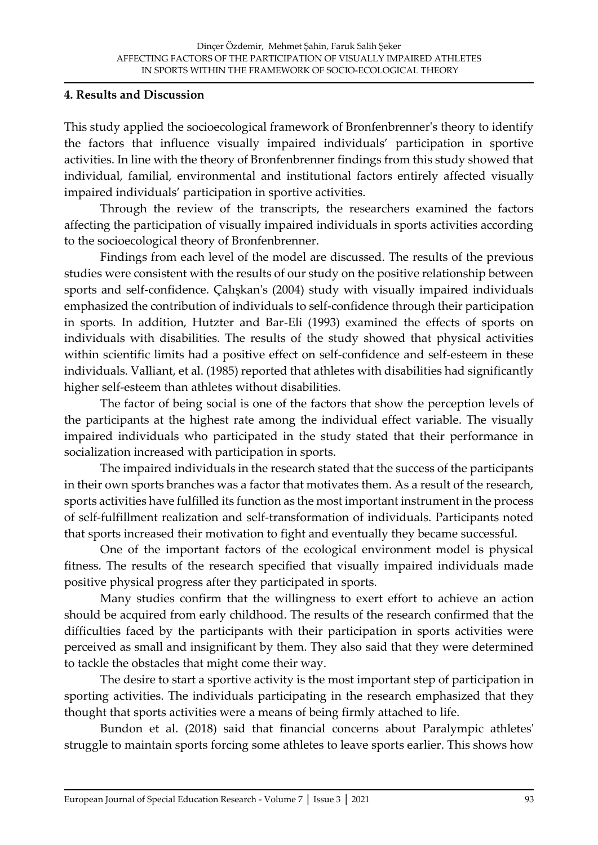#### **4. Results and Discussion**

This study applied the socioecological framework of Bronfenbrenner's theory to identify the factors that influence visually impaired individuals' participation in sportive activities. In line with the theory of Bronfenbrenner findings from this study showed that individual, familial, environmental and institutional factors entirely affected visually impaired individuals' participation in sportive activities.

Through the review of the transcripts, the researchers examined the factors affecting the participation of visually impaired individuals in sports activities according to the socioecological theory of Bronfenbrenner.

Findings from each level of the model are discussed. The results of the previous studies were consistent with the results of our study on the positive relationship between sports and self-confidence. Çalışkan's (2004) study with visually impaired individuals emphasized the contribution of individuals to self-confidence through their participation in sports. In addition, Hutzter and Bar-Eli (1993) examined the effects of sports on individuals with disabilities. The results of the study showed that physical activities within scientific limits had a positive effect on self-confidence and self-esteem in these individuals. Valliant, et al. (1985) reported that athletes with disabilities had significantly higher self-esteem than athletes without disabilities.

The factor of being social is one of the factors that show the perception levels of the participants at the highest rate among the individual effect variable. The visually impaired individuals who participated in the study stated that their performance in socialization increased with participation in sports.

The impaired individuals in the research stated that the success of the participants in their own sports branches was a factor that motivates them. As a result of the research, sports activities have fulfilled its function as the most important instrument in the process of self-fulfillment realization and self-transformation of individuals. Participants noted that sports increased their motivation to fight and eventually they became successful.

One of the important factors of the ecological environment model is physical fitness. The results of the research specified that visually impaired individuals made positive physical progress after they participated in sports.

Many studies confirm that the willingness to exert effort to achieve an action should be acquired from early childhood. The results of the research confirmed that the difficulties faced by the participants with their participation in sports activities were perceived as small and insignificant by them. They also said that they were determined to tackle the obstacles that might come their way.

The desire to start a sportive activity is the most important step of participation in sporting activities. The individuals participating in the research emphasized that they thought that sports activities were a means of being firmly attached to life.

Bundon et al. (2018) said that financial concerns about Paralympic athletes' struggle to maintain sports forcing some athletes to leave sports earlier. This shows how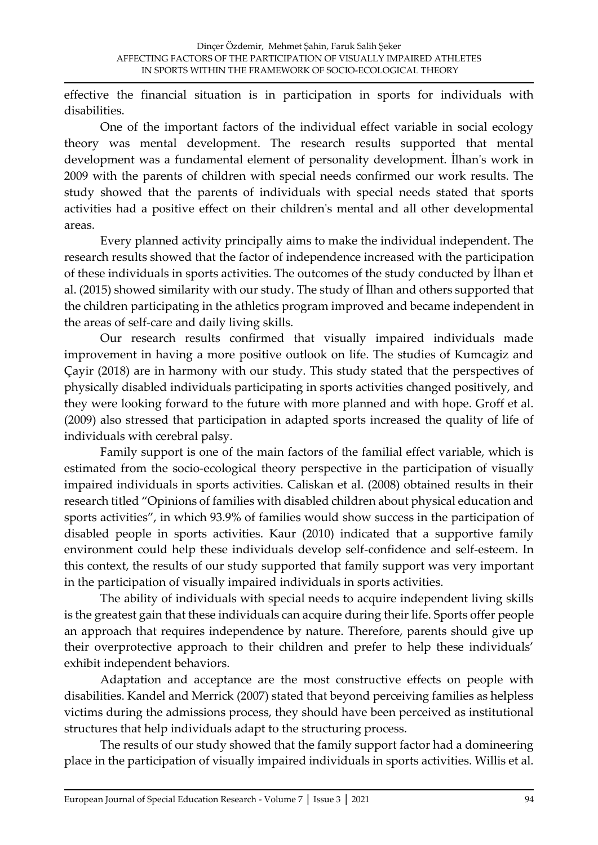effective the financial situation is in participation in sports for individuals with disabilities.

One of the important factors of the individual effect variable in social ecology theory was mental development. The research results supported that mental development was a fundamental element of personality development. İlhan's work in 2009 with the parents of children with special needs confirmed our work results. The study showed that the parents of individuals with special needs stated that sports activities had a positive effect on their children's mental and all other developmental areas.

Every planned activity principally aims to make the individual independent. The research results showed that the factor of independence increased with the participation of these individuals in sports activities. The outcomes of the study conducted by İlhan et al. (2015) showed similarity with our study. The study of İlhan and others supported that the children participating in the athletics program improved and became independent in the areas of self-care and daily living skills.

Our research results confirmed that visually impaired individuals made improvement in having a more positive outlook on life. The studies of Kumcagiz and Çayir (2018) are in harmony with our study. This study stated that the perspectives of physically disabled individuals participating in sports activities changed positively, and they were looking forward to the future with more planned and with hope. Groff et al. (2009) also stressed that participation in adapted sports increased the quality of life of individuals with cerebral palsy.

Family support is one of the main factors of the familial effect variable, which is estimated from the socio-ecological theory perspective in the participation of visually impaired individuals in sports activities. Caliskan et al. (2008) obtained results in their research titled "Opinions of families with disabled children about physical education and sports activities", in which 93.9% of families would show success in the participation of disabled people in sports activities. Kaur (2010) indicated that a supportive family environment could help these individuals develop self-confidence and self-esteem. In this context, the results of our study supported that family support was very important in the participation of visually impaired individuals in sports activities.

The ability of individuals with special needs to acquire independent living skills is the greatest gain that these individuals can acquire during their life. Sports offer people an approach that requires independence by nature. Therefore, parents should give up their overprotective approach to their children and prefer to help these individuals' exhibit independent behaviors.

Adaptation and acceptance are the most constructive effects on people with disabilities. Kandel and Merrick (2007) stated that beyond perceiving families as helpless victims during the admissions process, they should have been perceived as institutional structures that help individuals adapt to the structuring process.

The results of our study showed that the family support factor had a domineering place in the participation of visually impaired individuals in sports activities. Willis et al.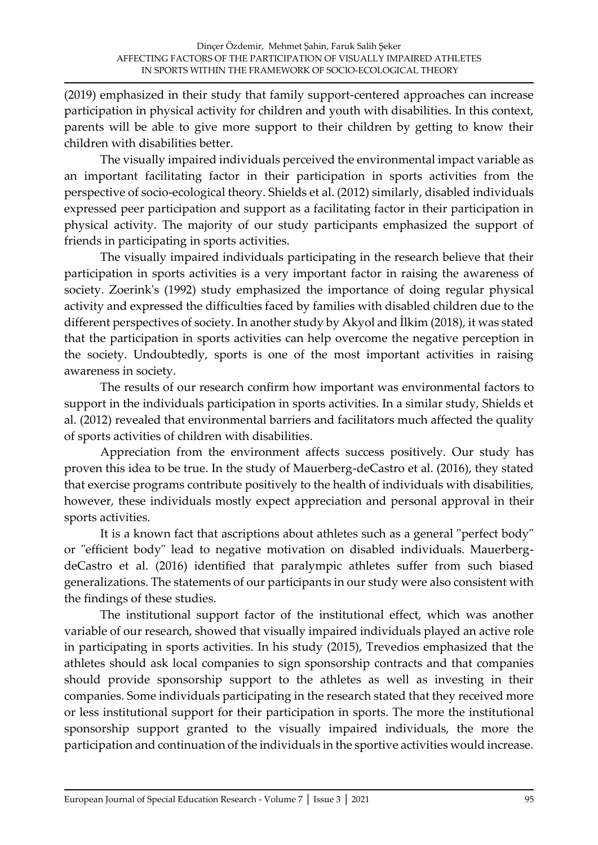(2019) emphasized in their study that family support-centered approaches can increase participation in physical activity for children and youth with disabilities. In this context, parents will be able to give more support to their children by getting to know their children with disabilities better.

The visually impaired individuals perceived the environmental impact variable as an important facilitating factor in their participation in sports activities from the perspective of socio-ecological theory. Shields et al. (2012) similarly, disabled individuals expressed peer participation and support as a facilitating factor in their participation in physical activity. The majority of our study participants emphasized the support of friends in participating in sports activities.

The visually impaired individuals participating in the research believe that their participation in sports activities is a very important factor in raising the awareness of society. Zoerink's (1992) study emphasized the importance of doing regular physical activity and expressed the difficulties faced by families with disabled children due to the different perspectives of society. In another study by Akyol and İlkim (2018), it was stated that the participation in sports activities can help overcome the negative perception in the society. Undoubtedly, sports is one of the most important activities in raising awareness in society.

The results of our research confirm how important was environmental factors to support in the individuals participation in sports activities. In a similar study, Shields et al. (2012) revealed that environmental barriers and facilitators much affected the quality of sports activities of children with disabilities.

Appreciation from the environment affects success positively. Our study has proven this idea to be true. In the study of Mauerberg-deCastro et al. (2016), they stated that exercise programs contribute positively to the health of individuals with disabilities, however, these individuals mostly expect appreciation and personal approval in their sports activities.

It is a known fact that ascriptions about athletes such as a general "perfect body" or "efficient body" lead to negative motivation on disabled individuals. MauerbergdeCastro et al. (2016) identified that paralympic athletes suffer from such biased generalizations. The statements of our participants in our study were also consistent with the findings of these studies.

The institutional support factor of the institutional effect, which was another variable of our research, showed that visually impaired individuals played an active role in participating in sports activities. In his study (2015), Trevedios emphasized that the athletes should ask local companies to sign sponsorship contracts and that companies should provide sponsorship support to the athletes as well as investing in their companies. Some individuals participating in the research stated that they received more or less institutional support for their participation in sports. The more the institutional sponsorship support granted to the visually impaired individuals, the more the participation and continuation of the individuals in the sportive activities would increase.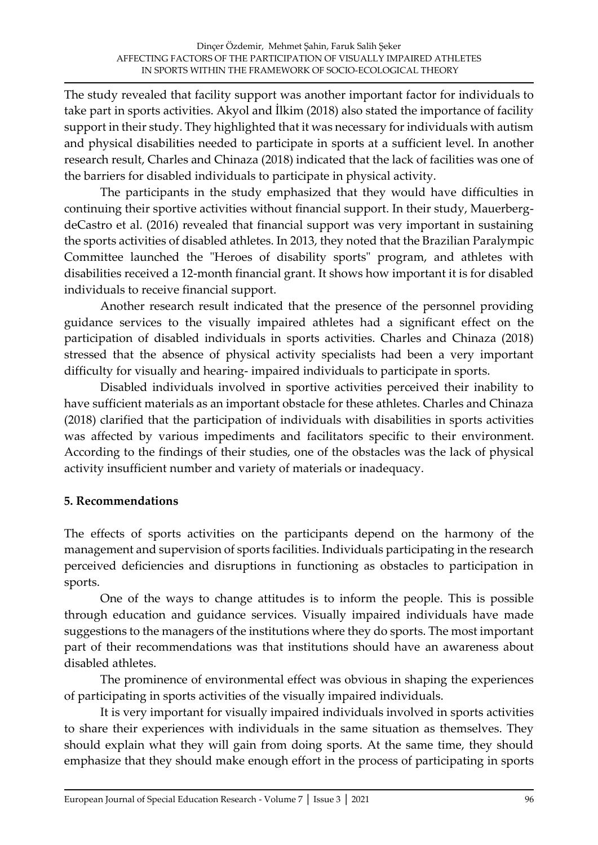The study revealed that facility support was another important factor for individuals to take part in sports activities. Akyol and İlkim (2018) also stated the importance of facility support in their study. They highlighted that it was necessary for individuals with autism and physical disabilities needed to participate in sports at a sufficient level. In another research result, Charles and Chinaza (2018) indicated that the lack of facilities was one of the barriers for disabled individuals to participate in physical activity.

The participants in the study emphasized that they would have difficulties in continuing their sportive activities without financial support. In their study, MauerbergdeCastro et al. (2016) revealed that financial support was very important in sustaining the sports activities of disabled athletes. In 2013, they noted that the Brazilian Paralympic Committee launched the "Heroes of disability sports" program, and athletes with disabilities received a 12-month financial grant. It shows how important it is for disabled individuals to receive financial support.

Another research result indicated that the presence of the personnel providing guidance services to the visually impaired athletes had a significant effect on the participation of disabled individuals in sports activities. Charles and Chinaza (2018) stressed that the absence of physical activity specialists had been a very important difficulty for visually and hearing- impaired individuals to participate in sports.

Disabled individuals involved in sportive activities perceived their inability to have sufficient materials as an important obstacle for these athletes. Charles and Chinaza (2018) clarified that the participation of individuals with disabilities in sports activities was affected by various impediments and facilitators specific to their environment. According to the findings of their studies, one of the obstacles was the lack of physical activity insufficient number and variety of materials or inadequacy.

### **5. Recommendations**

The effects of sports activities on the participants depend on the harmony of the management and supervision of sports facilities. Individuals participating in the research perceived deficiencies and disruptions in functioning as obstacles to participation in sports.

One of the ways to change attitudes is to inform the people. This is possible through education and guidance services. Visually impaired individuals have made suggestions to the managers of the institutions where they do sports. The most important part of their recommendations was that institutions should have an awareness about disabled athletes.

The prominence of environmental effect was obvious in shaping the experiences of participating in sports activities of the visually impaired individuals.

It is very important for visually impaired individuals involved in sports activities to share their experiences with individuals in the same situation as themselves. They should explain what they will gain from doing sports. At the same time, they should emphasize that they should make enough effort in the process of participating in sports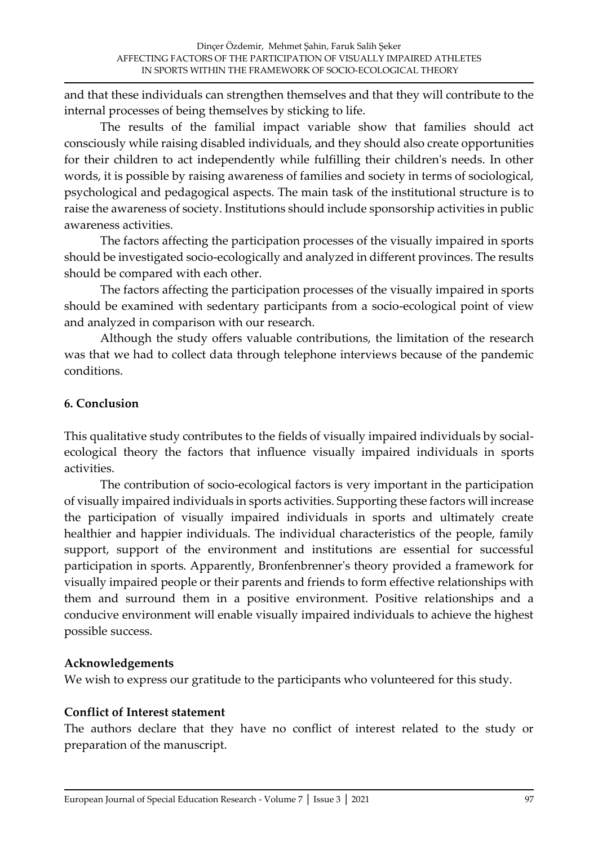and that these individuals can strengthen themselves and that they will contribute to the internal processes of being themselves by sticking to life.

The results of the familial impact variable show that families should act consciously while raising disabled individuals, and they should also create opportunities for their children to act independently while fulfilling their children's needs. In other words, it is possible by raising awareness of families and society in terms of sociological, psychological and pedagogical aspects. The main task of the institutional structure is to raise the awareness of society. Institutions should include sponsorship activities in public awareness activities.

The factors affecting the participation processes of the visually impaired in sports should be investigated socio-ecologically and analyzed in different provinces. The results should be compared with each other.

The factors affecting the participation processes of the visually impaired in sports should be examined with sedentary participants from a socio-ecological point of view and analyzed in comparison with our research.

Although the study offers valuable contributions, the limitation of the research was that we had to collect data through telephone interviews because of the pandemic conditions.

# **6. Conclusion**

This qualitative study contributes to the fields of visually impaired individuals by socialecological theory the factors that influence visually impaired individuals in sports activities.

The contribution of socio-ecological factors is very important in the participation of visually impaired individuals in sports activities. Supporting these factors will increase the participation of visually impaired individuals in sports and ultimately create healthier and happier individuals. The individual characteristics of the people, family support, support of the environment and institutions are essential for successful participation in sports. Apparently, Bronfenbrenner's theory provided a framework for visually impaired people or their parents and friends to form effective relationships with them and surround them in a positive environment. Positive relationships and a conducive environment will enable visually impaired individuals to achieve the highest possible success.

### **Acknowledgements**

We wish to express our gratitude to the participants who volunteered for this study.

### **Conflict of Interest statement**

The authors declare that they have no conflict of interest related to the study or preparation of the manuscript.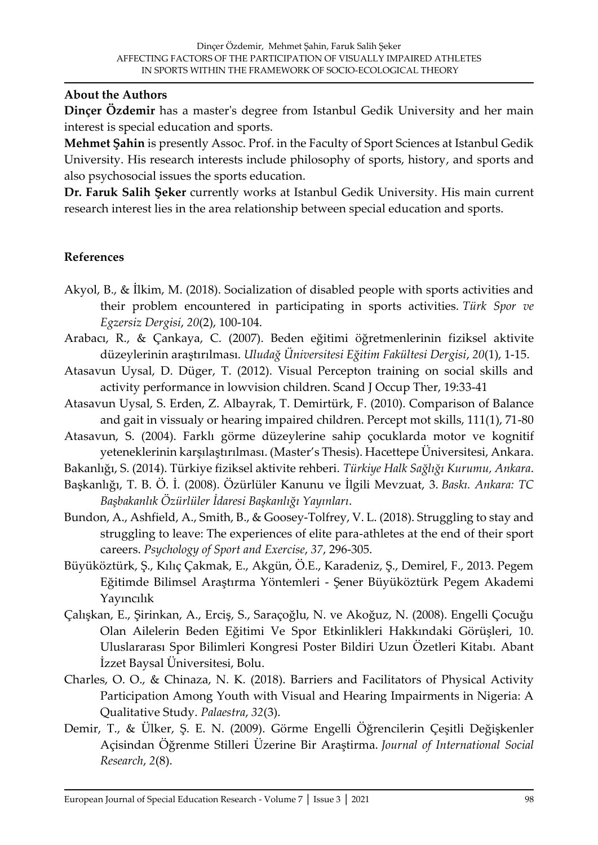#### **About the Authors**

**Dinçer Özdemir** has a master's degree from Istanbul Gedik University and her main interest is special education and sports.

**Mehmet Şahin** is presently Assoc. Prof. in the Faculty of Sport Sciences at Istanbul Gedik University. His research interests include philosophy of sports, history, and sports and also psychosocial issues the sports education.

**Dr. Faruk Salih Şeker** currently works at Istanbul Gedik University. His main current research interest lies in the area relationship between special education and sports.

# **References**

- Akyol, B., & İlkim, M. (2018). Socialization of disabled people with sports activities and their problem encountered in participating in sports activities. *Türk Spor ve Egzersiz Dergisi*, *20*(2), 100-104.
- Arabacı, R., & Çankaya, C. (2007). Beden eğitimi öğretmenlerinin fiziksel aktivite düzeylerinin araştırılması. *Uludağ Üniversitesi Eğitim Fakültesi Dergisi*, *20*(1), 1-15.
- Atasavun Uysal, D. Düger, T. (2012). Visual Percepton training on social skills and activity performance in lowvision children. Scand J Occup Ther, 19:33-41
- Atasavun Uysal, S. Erden, Z. Albayrak, T. Demirtürk, F. (2010). Comparison of Balance and gait in vissualy or hearing impaired children. Percept mot skills, 111(1), 71-80
- Atasavun, S. (2004). Farklı görme düzeylerine sahip çocuklarda motor ve kognitif yeteneklerinin karşılaştırılması. (Master's Thesis). Hacettepe Üniversitesi, Ankara.
- Bakanlığı, S. (2014). Türkiye fiziksel aktivite rehberi. *Türkiye Halk Sağlığı Kurumu, Ankara*.
- Başkanlığı, T. B. Ö. İ. (2008). Özürlüler Kanunu ve İlgili Mevzuat, 3. *Baskı. Ankara: TC Başbakanlık Özürlüler İdaresi Başkanlığı Yayınları*.
- Bundon, A., Ashfield, A., Smith, B., & Goosey-Tolfrey, V. L. (2018). Struggling to stay and struggling to leave: The experiences of elite para-athletes at the end of their sport careers. *Psychology of Sport and Exercise*, *37*, 296-305.
- Büyüköztürk, Ş., Kılıç Çakmak, E., Akgün, Ö.E., Karadeniz, Ş., Demirel, F., 2013. Pegem Eğitimde Bilimsel Araştırma Yöntemleri - Şener Büyüköztürk Pegem Akademi Yayıncılık
- Çalışkan, E., Şirinkan, A., Erciş, S., Saraçoğlu, N. ve Akoğuz, N. (2008). Engelli Çocuğu Olan Ailelerin Beden Eğitimi Ve Spor Etkinlikleri Hakkındaki Görüşleri, 10. Uluslararası Spor Bilimleri Kongresi Poster Bildiri Uzun Özetleri Kitabı. Abant İzzet Baysal Üniversitesi, Bolu.
- Charles, O. O., & Chinaza, N. K. (2018). Barriers and Facilitators of Physical Activity Participation Among Youth with Visual and Hearing Impairments in Nigeria: A Qualitative Study. *Palaestra*, *32*(3).
- Demir, T., & Ülker, Ş. E. N. (2009). Görme Engelli Öğrencilerin Çeşitli Değişkenler Açisindan Öğrenme Stilleri Üzerine Bir Araştirma. *Journal of International Social Research*, *2*(8).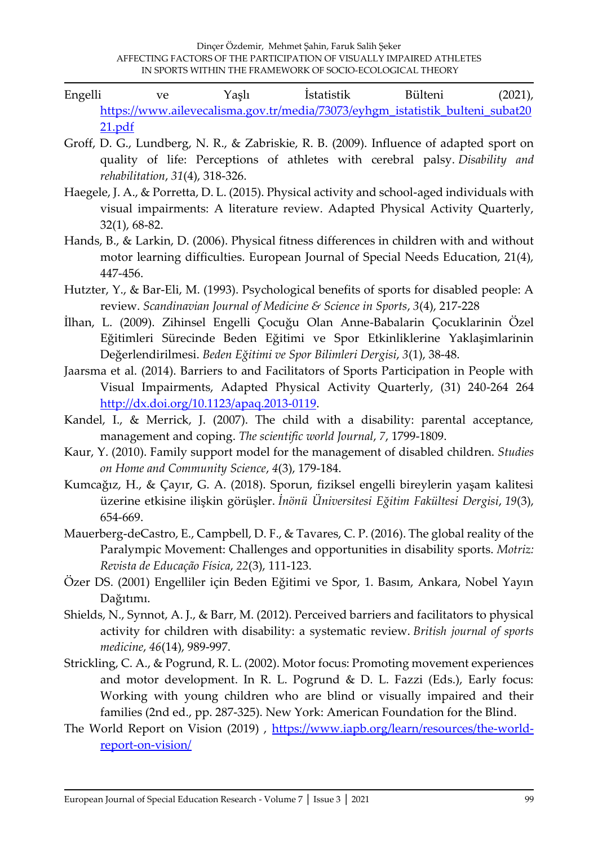- Engelli ve Yaşlı İstatistik Bülteni (2021), [https://www.ailevecalisma.gov.tr/media/73073/eyhgm\\_istatistik\\_bulteni\\_subat20](https://www.ailevecalisma.gov.tr/media/73073/eyhgm_istatistik_bulteni_subat2021.pdf) [21.pdf](https://www.ailevecalisma.gov.tr/media/73073/eyhgm_istatistik_bulteni_subat2021.pdf)
- Groff, D. G., Lundberg, N. R., & Zabriskie, R. B. (2009). Influence of adapted sport on quality of life: Perceptions of athletes with cerebral palsy. *Disability and rehabilitation*, *31*(4), 318-326.
- Haegele, J. A., & Porretta, D. L. (2015). Physical activity and school-aged individuals with visual impairments: A literature review. Adapted Physical Activity Quarterly, 32(1), 68-82.
- Hands, B., & Larkin, D. (2006). Physical fitness differences in children with and without motor learning difficulties. European Journal of Special Needs Education, 21(4), 447-456.
- Hutzter, Y., & Bar‐Eli, M. (1993). Psychological benefits of sports for disabled people: A review. *Scandinavian Journal of Medicine & Science in Sports*, *3*(4), 217-228
- İlhan, L. (2009). Zihinsel Engelli Çocuğu Olan Anne-Babalarin Çocuklarinin Özel Eğitimleri Sürecinde Beden Eğitimi ve Spor Etkinliklerine Yaklaşimlarinin Değerlendirilmesi. *Beden Eğitimi ve Spor Bilimleri Dergisi*, *3*(1), 38-48.
- Jaarsma et al. (2014). Barriers to and Facilitators of Sports Participation in People with Visual Impairments, Adapted Physical Activity Quarterly, (31) 240-264 264 [http://dx.doi.org/10.1123/apaq.2013-0119.](http://dx.doi.org/10.1123/apaq.2013-0119)
- Kandel, I., & Merrick, J. (2007). The child with a disability: parental acceptance, management and coping. *The scientific world Journal*, *7*, 1799-1809.
- Kaur, Y. (2010). Family support model for the management of disabled children. *Studies on Home and Community Science*, *4*(3), 179-184.
- Kumcağız, H., & Çayır, G. A. (2018). Sporun, fiziksel engelli bireylerin yaşam kalitesi üzerine etkisine ilişkin görüşler. *İnönü Üniversitesi Eğitim Fakültesi Dergisi*, *19*(3), 654-669.
- Mauerberg-deCastro, E., Campbell, D. F., & Tavares, C. P. (2016). The global reality of the Paralympic Movement: Challenges and opportunities in disability sports. *Motriz: Revista de Educação Física*, *22*(3), 111-123.
- Özer DS. (2001) Engelliler için Beden Eğitimi ve Spor, 1. Basım, Ankara, Nobel Yayın Dağıtımı.
- Shields, N., Synnot, A. J., & Barr, M. (2012). Perceived barriers and facilitators to physical activity for children with disability: a systematic review. *British journal of sports medicine*, *46*(14), 989-997.
- Strickling, C. A., & Pogrund, R. L. (2002). Motor focus: Promoting movement experiences and motor development. In R. L. Pogrund & D. L. Fazzi (Eds.), Early focus: Working with young children who are blind or visually impaired and their families (2nd ed., pp. 287-325). New York: American Foundation for the Blind.
- The World Report on Vision (2019), [https://www.iapb.org/learn/resources/the-world](https://www.iapb.org/learn/resources/the-world-report-on-vision/)[report-on-vision/](https://www.iapb.org/learn/resources/the-world-report-on-vision/)